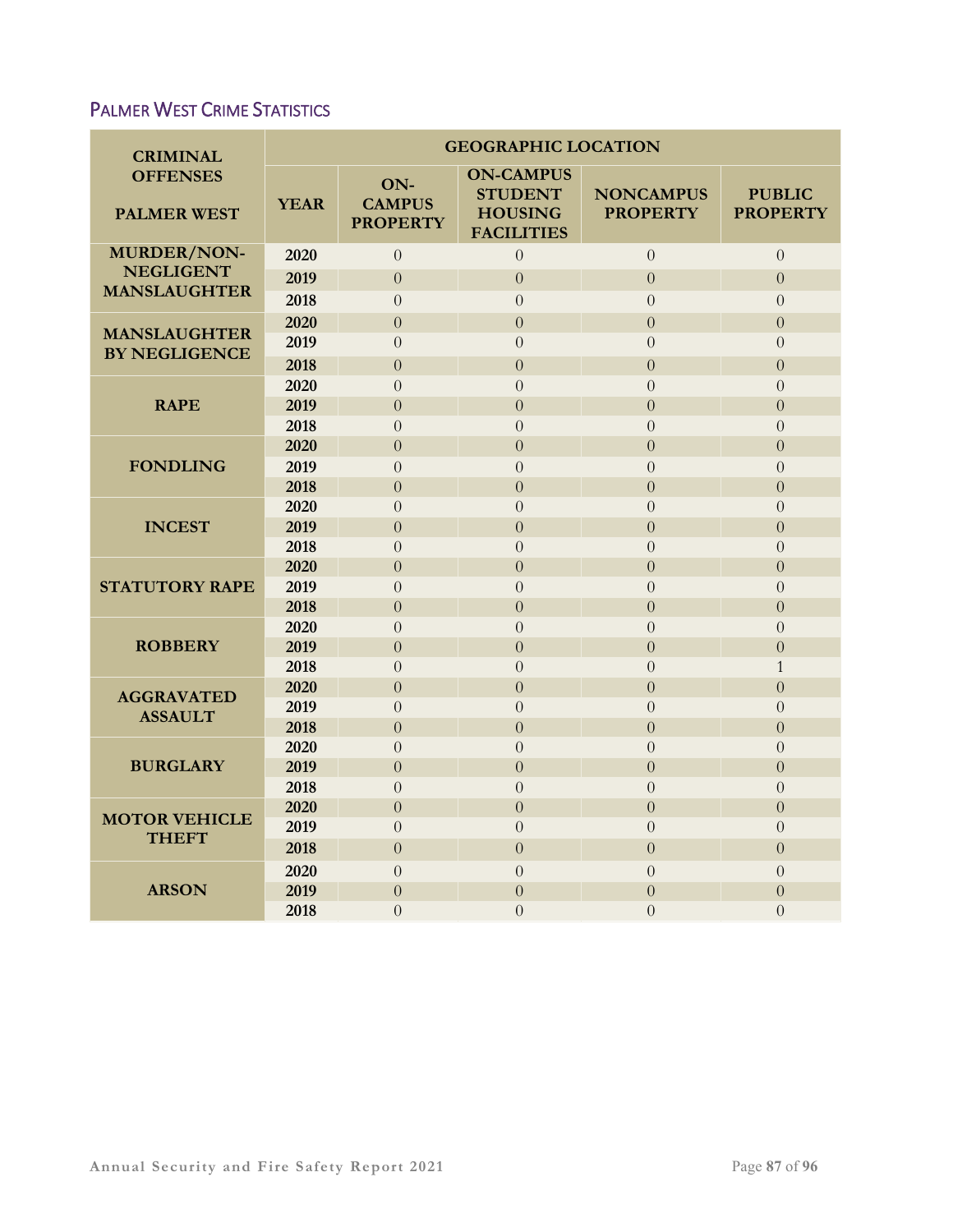# PALMER WEST CRIME STATISTICS

| <b>CRIMINAL</b>                             | <b>GEOGRAPHIC LOCATION</b> |                                         |                                                                           |                                     |                                  |  |  |  |
|---------------------------------------------|----------------------------|-----------------------------------------|---------------------------------------------------------------------------|-------------------------------------|----------------------------------|--|--|--|
| <b>OFFENSES</b><br><b>PALMER WEST</b>       | <b>YEAR</b>                | ON-<br><b>CAMPUS</b><br><b>PROPERTY</b> | <b>ON-CAMPUS</b><br><b>STUDENT</b><br><b>HOUSING</b><br><b>FACILITIES</b> | <b>NONCAMPUS</b><br><b>PROPERTY</b> | <b>PUBLIC</b><br><b>PROPERTY</b> |  |  |  |
| <b>MURDER/NON-</b>                          | 2020                       | $\Omega$                                | $\overline{0}$                                                            | $\overline{0}$                      | $\overline{0}$                   |  |  |  |
| <b>NEGLIGENT</b><br><b>MANSLAUGHTER</b>     | 2019                       | $\overline{0}$                          | $\overline{0}$                                                            | $\overline{0}$                      | $\boldsymbol{0}$                 |  |  |  |
|                                             | 2018                       | $\overline{0}$                          | $\overline{0}$                                                            | $\overline{0}$                      | $\overline{0}$                   |  |  |  |
| <b>MANSLAUGHTER</b><br><b>BY NEGLIGENCE</b> | 2020                       | $\overline{0}$                          | $\overline{0}$                                                            | $\overline{0}$                      | $\overline{0}$                   |  |  |  |
|                                             | 2019                       | $\overline{0}$                          | $\overline{0}$                                                            | $\overline{0}$                      | $\overline{0}$                   |  |  |  |
|                                             | 2018                       | $\overline{0}$                          | $\overline{0}$                                                            | $\overline{0}$                      | $\overline{0}$                   |  |  |  |
| <b>RAPE</b>                                 | 2020                       | $\overline{0}$                          | $\overline{0}$                                                            | $\overline{0}$                      | $\overline{0}$                   |  |  |  |
|                                             | 2019                       | $\overline{0}$                          | $\overline{0}$                                                            | $\overline{0}$                      | $\overline{0}$                   |  |  |  |
|                                             | 2018                       | $\theta$                                | $\overline{0}$                                                            | $\boldsymbol{0}$                    | $\overline{0}$                   |  |  |  |
| <b>FONDLING</b>                             | 2020                       | $\Omega$                                | $\theta$                                                                  | $\overline{0}$                      | $\theta$                         |  |  |  |
|                                             | 2019                       | $\overline{0}$                          | $\overline{0}$                                                            | $\overline{0}$                      | $\overline{0}$                   |  |  |  |
|                                             | 2018                       | $\overline{0}$                          | $\overline{0}$                                                            | $\overline{0}$                      | $\overline{0}$                   |  |  |  |
| <b>INCEST</b>                               | 2020                       | $\Omega$                                | $\theta$                                                                  | $\Omega$                            | $\theta$                         |  |  |  |
|                                             | 2019                       | $\overline{0}$                          | $\overline{0}$                                                            | $\overline{0}$                      | $\overline{0}$                   |  |  |  |
|                                             | 2018                       | $\Omega$                                | $\theta$                                                                  | $\Omega$                            | $\overline{0}$                   |  |  |  |
| <b>STATUTORY RAPE</b>                       | 2020                       | $\Omega$                                | $\theta$                                                                  | $\Omega$                            | $\theta$                         |  |  |  |
|                                             | 2019                       | $\overline{0}$                          | $\theta$                                                                  | $\overline{0}$                      | $\overline{0}$                   |  |  |  |
| <b>ROBBERY</b>                              | 2018<br>2020               | $\overline{0}$<br>$\overline{0}$        | $\overline{0}$                                                            | $\overline{0}$<br>$\overline{0}$    | $\overline{0}$                   |  |  |  |
|                                             | 2019                       | $\overline{0}$                          | $\overline{0}$<br>$\overline{0}$                                          | $\overline{0}$                      | $\overline{0}$<br>$\overline{0}$ |  |  |  |
|                                             | 2018                       | $\overline{0}$                          | $\overline{0}$                                                            | $\overline{0}$                      | $\mathbf{1}$                     |  |  |  |
|                                             | 2020                       | $\overline{0}$                          | $\overline{0}$                                                            | $\overline{0}$                      | $\overline{0}$                   |  |  |  |
| <b>AGGRAVATED</b><br><b>ASSAULT</b>         | 2019                       | $\Omega$                                | $\overline{0}$                                                            | $\overline{0}$                      | $\overline{0}$                   |  |  |  |
|                                             | 2018                       | $\overline{0}$                          | $\overline{0}$                                                            | $\overline{0}$                      | $\overline{0}$                   |  |  |  |
| <b>BURGLARY</b>                             | 2020                       | $\Omega$                                | $\theta$                                                                  | $\Omega$                            | $\theta$                         |  |  |  |
|                                             | 2019                       | $\Omega$                                | $\theta$                                                                  | $\Omega$                            | $\theta$                         |  |  |  |
|                                             | 2018                       | $\Omega$                                | $\theta$                                                                  | $\overline{0}$                      | $\theta$                         |  |  |  |
| <b>MOTOR VEHICLE</b><br><b>THEFT</b>        | 2020                       | $\overline{0}$                          | $\overline{0}$                                                            | $\overline{0}$                      | $\overline{0}$                   |  |  |  |
|                                             | 2019                       | $\overline{0}$                          | $\overline{0}$                                                            | $\overline{0}$                      | $\theta$                         |  |  |  |
|                                             | 2018                       | $\overline{0}$                          | $\overline{0}$                                                            | $\overline{0}$                      | $\overline{0}$                   |  |  |  |
|                                             | 2020                       | $\overline{0}$                          | $\theta$                                                                  | $\overline{0}$                      | $\theta$                         |  |  |  |
| <b>ARSON</b>                                | 2019                       | $\overline{0}$                          | $\overline{0}$                                                            | $\overline{0}$                      | $\overline{0}$                   |  |  |  |
|                                             | 2018                       | $\overline{0}$                          | $\overline{0}$                                                            | $\overline{0}$                      | $\overline{0}$                   |  |  |  |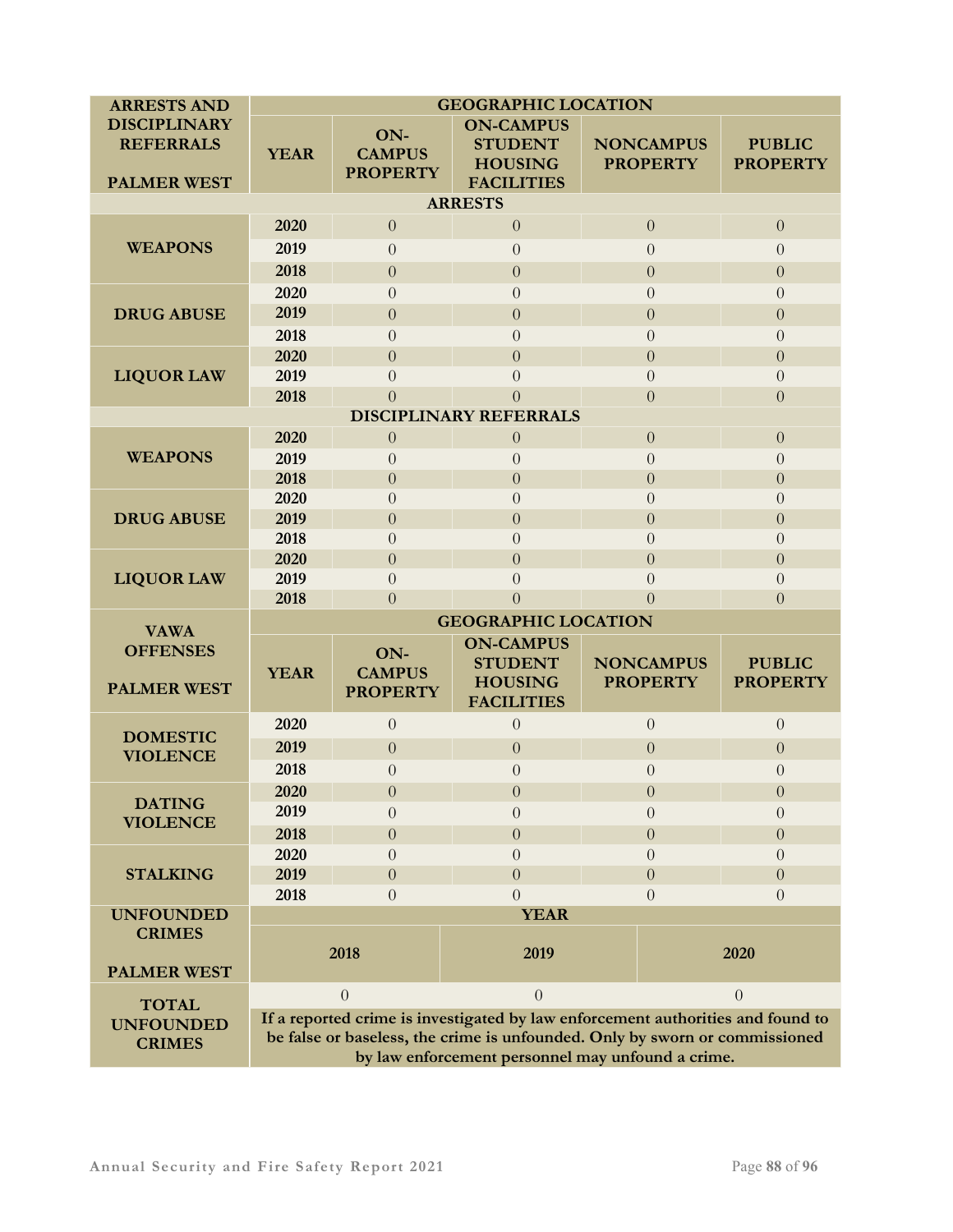| <b>ARRESTS AND</b>                 | <b>GEOGRAPHIC LOCATION</b>       |                  |                                                                                                                                  |                  |                              |                  |  |  |  |  |
|------------------------------------|----------------------------------|------------------|----------------------------------------------------------------------------------------------------------------------------------|------------------|------------------------------|------------------|--|--|--|--|
| <b>DISCIPLINARY</b>                |                                  | ON-              | <b>ON-CAMPUS</b>                                                                                                                 |                  |                              |                  |  |  |  |  |
| <b>REFERRALS</b>                   | <b>YEAR</b>                      | <b>CAMPUS</b>    | <b>STUDENT</b>                                                                                                                   |                  | <b>NONCAMPUS</b>             | <b>PUBLIC</b>    |  |  |  |  |
|                                    |                                  | <b>PROPERTY</b>  | <b>HOUSING</b>                                                                                                                   |                  | <b>PROPERTY</b>              | <b>PROPERTY</b>  |  |  |  |  |
| <b>PALMER WEST</b>                 |                                  |                  | <b>FACILITIES</b>                                                                                                                |                  |                              |                  |  |  |  |  |
| <b>ARRESTS</b>                     |                                  |                  |                                                                                                                                  |                  |                              |                  |  |  |  |  |
| <b>WEAPONS</b>                     | 2020                             | $\theta$         | $\boldsymbol{0}$                                                                                                                 |                  | $\boldsymbol{0}$             | $\theta$         |  |  |  |  |
|                                    | 2019                             | $\overline{0}$   | $\overline{0}$                                                                                                                   |                  | $\overline{0}$               | $\overline{0}$   |  |  |  |  |
|                                    | 2018                             | $\boldsymbol{0}$ | $\overline{0}$                                                                                                                   |                  | $\theta$                     | $\overline{0}$   |  |  |  |  |
| <b>DRUG ABUSE</b>                  | 2020                             | $\overline{0}$   | $\theta$                                                                                                                         |                  | $\overline{0}$<br>$\Omega$   |                  |  |  |  |  |
|                                    | 2019                             | $\overline{0}$   | $\overline{0}$                                                                                                                   |                  | $\theta$                     |                  |  |  |  |  |
|                                    | 2018                             | $\overline{0}$   | $\overline{0}$                                                                                                                   |                  | $\boldsymbol{0}$<br>$\theta$ |                  |  |  |  |  |
| <b>LIQUOR LAW</b>                  | 2020                             | $\overline{0}$   | $\overline{0}$                                                                                                                   |                  | $\overline{0}$               |                  |  |  |  |  |
|                                    | 2019                             | $\theta$         | $\theta$                                                                                                                         |                  | $\overline{0}$               | $\Omega$         |  |  |  |  |
|                                    | 2018                             | $\theta$         | $\overline{0}$                                                                                                                   |                  | $\overline{0}$               | $\overline{0}$   |  |  |  |  |
| <b>DISCIPLINARY REFERRALS</b>      |                                  |                  |                                                                                                                                  |                  |                              |                  |  |  |  |  |
| <b>WEAPONS</b>                     | 2020                             | $\boldsymbol{0}$ | $\theta$                                                                                                                         |                  | $\boldsymbol{0}$             | $\overline{0}$   |  |  |  |  |
|                                    | 2019                             | $\theta$         | $\theta$                                                                                                                         |                  | $\overline{0}$               | $\theta$         |  |  |  |  |
|                                    | 2018                             | $\overline{0}$   | $\overline{0}$                                                                                                                   |                  | $\overline{0}$               | $\overline{0}$   |  |  |  |  |
| <b>DRUG ABUSE</b>                  | 2020                             | $\overline{0}$   | $\theta$                                                                                                                         |                  | $\overline{0}$               | $\Omega$         |  |  |  |  |
|                                    | 2019                             | $\overline{0}$   | $\overline{0}$                                                                                                                   |                  | $\overline{0}$               | $\overline{0}$   |  |  |  |  |
|                                    | 2018                             | $\theta$         | $\overline{0}$                                                                                                                   |                  | $\overline{0}$               | $\theta$         |  |  |  |  |
|                                    | 2020                             | $\overline{0}$   | $\overline{0}$                                                                                                                   |                  | $\overline{0}$               | $\overline{0}$   |  |  |  |  |
| <b>LIQUOR LAW</b>                  | 2019                             | $\overline{0}$   | $\overline{0}$                                                                                                                   |                  | $\overline{0}$               | $\theta$         |  |  |  |  |
|                                    | 2018                             | $\overline{0}$   | $\overline{0}$                                                                                                                   |                  | $\theta$                     | $\overline{0}$   |  |  |  |  |
| <b>VAWA</b><br><b>OFFENSES</b>     | <b>GEOGRAPHIC LOCATION</b>       |                  |                                                                                                                                  |                  |                              |                  |  |  |  |  |
|                                    |                                  | ON-              | <b>ON-CAMPUS</b>                                                                                                                 |                  |                              |                  |  |  |  |  |
|                                    | <b>YEAR</b>                      | <b>CAMPUS</b>    | <b>STUDENT</b>                                                                                                                   |                  | <b>NONCAMPUS</b>             | <b>PUBLIC</b>    |  |  |  |  |
| <b>PALMER WEST</b>                 |                                  | <b>PROPERTY</b>  | <b>HOUSING</b><br><b>FACILITIES</b>                                                                                              |                  | <b>PROPERTY</b>              | <b>PROPERTY</b>  |  |  |  |  |
| <b>DOMESTIC</b><br><b>VIOLENCE</b> | 2020                             | $\boldsymbol{0}$ | $\overline{0}$                                                                                                                   | $\overline{0}$   |                              | $\theta$         |  |  |  |  |
|                                    | 2019                             | $\boldsymbol{0}$ | $\theta$                                                                                                                         | $\theta$         |                              | $\overline{0}$   |  |  |  |  |
|                                    | 2018                             | $\overline{0}$   | $\overline{0}$                                                                                                                   | $\theta$         |                              | $\overline{0}$   |  |  |  |  |
| <b>DATING</b>                      | 2020                             | $\boldsymbol{0}$ | $\boldsymbol{0}$                                                                                                                 | $\boldsymbol{0}$ |                              | $\boldsymbol{0}$ |  |  |  |  |
|                                    | 2019                             | $\overline{0}$   | $\overline{0}$                                                                                                                   |                  | $\theta$                     | $\theta$         |  |  |  |  |
| <b>VIOLENCE</b>                    | 2018                             | $\overline{0}$   | $\overline{0}$                                                                                                                   |                  | $\theta$                     | $\theta$         |  |  |  |  |
| <b>STALKING</b>                    | 2020                             | $\theta$         | $\theta$                                                                                                                         | $\Omega$         |                              | $\Omega$         |  |  |  |  |
|                                    | 2019                             | $\overline{0}$   | $\theta$                                                                                                                         |                  | $\overline{0}$               | $\Omega$         |  |  |  |  |
|                                    | 2018                             | $\theta$         | $\theta$                                                                                                                         |                  | $\Omega$                     | $\Omega$         |  |  |  |  |
| <b>UNFOUNDED</b>                   |                                  |                  | <b>YEAR</b>                                                                                                                      |                  |                              |                  |  |  |  |  |
| <b>CRIMES</b>                      |                                  |                  |                                                                                                                                  |                  |                              |                  |  |  |  |  |
|                                    | 2018                             |                  | 2019                                                                                                                             |                  | 2020                         |                  |  |  |  |  |
| <b>PALMER WEST</b>                 |                                  |                  |                                                                                                                                  |                  |                              |                  |  |  |  |  |
|                                    | $\theta$<br>$\Omega$<br>$\Omega$ |                  |                                                                                                                                  |                  |                              |                  |  |  |  |  |
|                                    |                                  |                  |                                                                                                                                  |                  |                              |                  |  |  |  |  |
| <b>TOTAL</b>                       |                                  |                  | If a reported crime is investigated by law enforcement authorities and found to                                                  |                  |                              |                  |  |  |  |  |
| <b>UNFOUNDED</b><br><b>CRIMES</b>  |                                  |                  | be false or baseless, the crime is unfounded. Only by sworn or commissioned<br>by law enforcement personnel may unfound a crime. |                  |                              |                  |  |  |  |  |